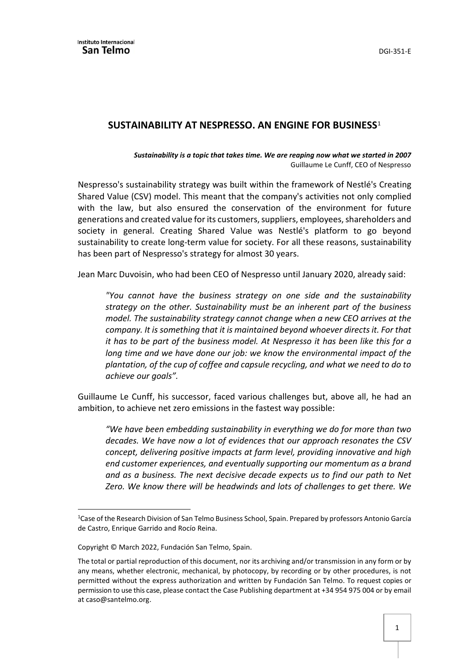## **SUSTAINABILITY AT NESPRESSO. AN ENGINE FOR BUSINESS**[1](#page-0-0)

*Sustainability is a topic that takes time. We are reaping now what we started in 2007* Guillaume Le Cunff, CEO of Nespresso

Nespresso's sustainability strategy was built within the framework of Nestlé's Creating Shared Value (CSV) model. This meant that the company's activities not only complied with the law, but also ensured the conservation of the environment for future generations and created value for its customers, suppliers, employees, shareholders and society in general. Creating Shared Value was Nestlé's platform to go beyond sustainability to create long-term value for society. For all these reasons, sustainability has been part of Nespresso's strategy for almost 30 years.

Jean Marc Duvoisin, who had been CEO of Nespresso until January 2020, already said:

*"You cannot have the business strategy on one side and the sustainability strategy on the other. Sustainability must be an inherent part of the business model. The sustainability strategy cannot change when a new CEO arrives at the company. It is something that it is maintained beyond whoever directs it. For that it has to be part of the business model. At Nespresso it has been like this for a long time and we have done our job: we know the environmental impact of the plantation, of the cup of coffee and capsule recycling, and what we need to do to achieve our goals".*

Guillaume Le Cunff, his successor, faced various challenges but, above all, he had an ambition, to achieve net zero emissions in the fastest way possible:

*"We have been embedding sustainability in everything we do for more than two decades. We have now a lot of evidences that our approach resonates the CSV concept, delivering positive impacts at farm level, providing innovative and high end customer experiences, and eventually supporting our momentum as a brand and as a business. The next decisive decade expects us to find our path to Net Zero. We know there will be headwinds and lots of challenges to get there. We* 

 $\overline{a}$ 

<span id="page-0-0"></span><sup>&</sup>lt;sup>1</sup> Case of the Research Division of San Telmo Business School, Spain. Prepared by professors Antonio García de Castro, Enrique Garrido and Rocío Reina.

Copyright © March 2022, Fundación San Telmo, Spain.

The total or partial reproduction of this document, nor its archiving and/or transmission in any form or by any means, whether electronic, mechanical, by photocopy, by recording or by other procedures, is not permitted without the express authorization and written by Fundación San Telmo. To request copies or permission to use this case, please contact the Case Publishing department at +34 954 975 004 or by email at caso@santelmo.org.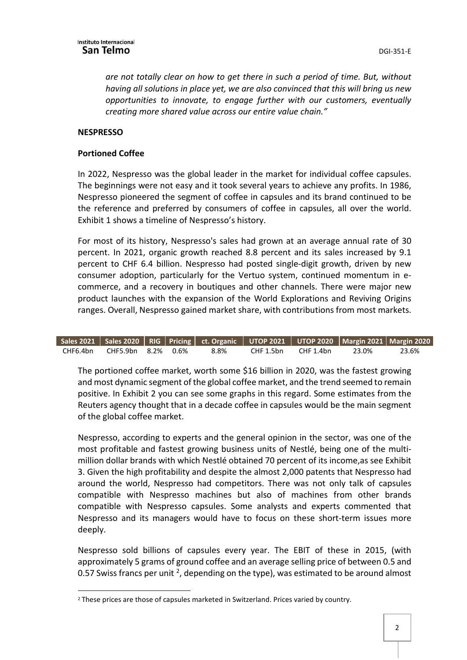*are not totally clear on how to get there in such a period of time. But, without having all solutions in place yet, we are also convinced that this will bring us new opportunities to innovate, to engage further with our customers, eventually creating more shared value across our entire value chain."* 

## **NESPRESSO**

 $\overline{a}$ 

## **Portioned Coffee**

In 2022, Nespresso was the global leader in the market for individual coffee capsules. The beginnings were not easy and it took several years to achieve any profits. In 1986, Nespresso pioneered the segment of coffee in capsules and its brand continued to be the reference and preferred by consumers of coffee in capsules, all over the world. Exhibit 1 shows a timeline of Nespresso's history.

For most of its history, Nespresso's sales had grown at an average annual rate of 30 percent. In 2021, organic growth reached 8.8 percent and its sales increased by 9.1 percent to CHF 6.4 billion. Nespresso had posted single-digit growth, driven by new consumer adoption, particularly for the Vertuo system, continued momentum in ecommerce, and a recovery in boutiques and other channels. There were major new product launches with the expansion of the World Explorations and Reviving Origins ranges. Overall, Nespresso gained market share, with contributions from most markets.

|                             |  |      | Sales 2021   Sales 2020   RIG   Pricing   ct. Organic   UTOP 2021   UTOP 2020   Margin 2021   Margin 2020 |       |       |
|-----------------------------|--|------|-----------------------------------------------------------------------------------------------------------|-------|-------|
| CHF6.4bn CHF5.9bn 8.2% 0.6% |  | 8.8% | CHF 1.5bn CHF 1.4bn                                                                                       | 23.0% | 23.6% |

The portioned coffee market, worth some \$16 billion in 2020, was the fastest growing and most dynamic segment of the global coffee market, and the trend seemed to remain positive. In Exhibit 2 you can see some graphs in this regard. Some estimates from the Reuters agency thought that in a decade coffee in capsules would be the main segment of the global coffee market.

Nespresso, according to experts and the general opinion in the sector, was one of the most profitable and fastest growing business units of Nestlé, being one of the multimillion dollar brands with which Nestlé obtained 70 percent of its income,as see Exhibit 3. Given the high profitability and despite the almost 2,000 patents that Nespresso had around the world, Nespresso had competitors. There was not only talk of capsules compatible with Nespresso machines but also of machines from other brands compatible with Nespresso capsules. Some analysts and experts commented that Nespresso and its managers would have to focus on these short-term issues more deeply.

Nespresso sold billions of capsules every year. The EBIT of these in 2015, (with approximately 5 grams of ground coffee and an average selling price of between 0.5 and 0.57 Swiss francs per unit <sup>2</sup>, depending on the type), was estimated to be around almost

<span id="page-1-0"></span><sup>&</sup>lt;sup>2</sup> These prices are those of capsules marketed in Switzerland. Prices varied by country.